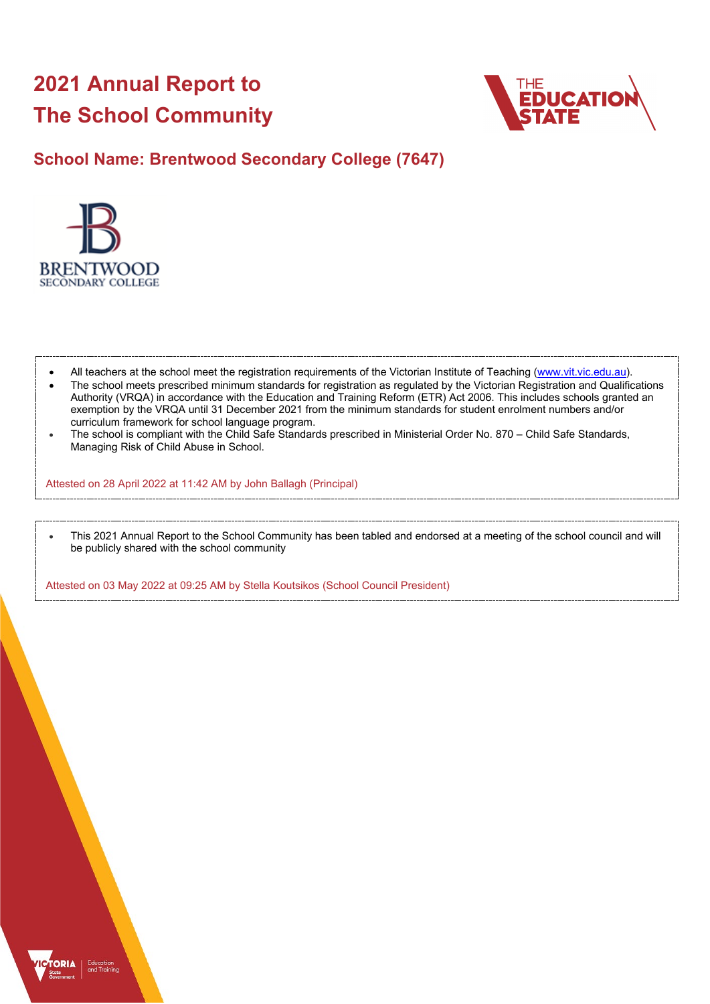# **2021 Annual Report to The School Community**



**School Name: Brentwood Secondary College (7647)**



- All teachers at the school meet the registration requirements of the Victorian Institute of Teaching [\(www.vit.vic.edu.au\)](https://www.vit.vic.edu.au/).
- The school meets prescribed minimum standards for registration as regulated by the Victorian Registration and Qualifications Authority (VRQA) in accordance with the Education and Training Reform (ETR) Act 2006. This includes schools granted an exemption by the VRQA until 31 December 2021 from the minimum standards for student enrolment numbers and/or curriculum framework for school language program.
- The school is compliant with the Child Safe Standards prescribed in Ministerial Order No. 870 Child Safe Standards, Managing Risk of Child Abuse in School.

Attested on 28 April 2022 at 11:42 AM by John Ballagh (Principal)

• This 2021 Annual Report to the School Community has been tabled and endorsed at a meeting of the school council and will be publicly shared with the school community

Attested on 03 May 2022 at 09:25 AM by Stella Koutsikos (School Council President)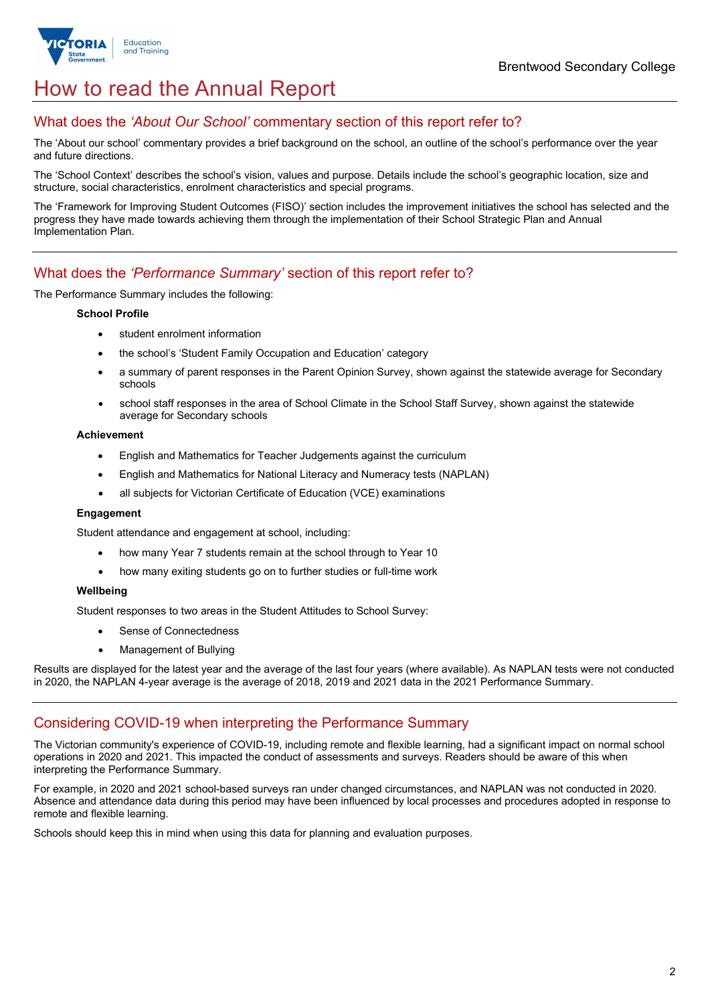

# How to read the Annual Report

## What does the *'About Our School'* commentary section of this report refer to?

The 'About our school' commentary provides a brief background on the school, an outline of the school's performance over the year and future directions.

The 'School Context' describes the school's vision, values and purpose. Details include the school's geographic location, size and structure, social characteristics, enrolment characteristics and special programs.

The 'Framework for Improving Student Outcomes (FISO)' section includes the improvement initiatives the school has selected and the progress they have made towards achieving them through the implementation of their School Strategic Plan and Annual Implementation Plan.

## What does the *'Performance Summary'* section of this report refer to?

The Performance Summary includes the following:

#### **School Profile**

- student enrolment information
- the school's 'Student Family Occupation and Education' category
- a summary of parent responses in the Parent Opinion Survey, shown against the statewide average for Secondary schools
- school staff responses in the area of School Climate in the School Staff Survey, shown against the statewide average for Secondary schools

#### **Achievement**

- English and Mathematics for Teacher Judgements against the curriculum
- English and Mathematics for National Literacy and Numeracy tests (NAPLAN)
- all subjects for Victorian Certificate of Education (VCE) examinations

#### **Engagement**

Student attendance and engagement at school, including:

- how many Year 7 students remain at the school through to Year 10
- how many exiting students go on to further studies or full-time work

#### **Wellbeing**

Student responses to two areas in the Student Attitudes to School Survey:

- Sense of Connectedness
- Management of Bullying

Results are displayed for the latest year and the average of the last four years (where available). As NAPLAN tests were not conducted in 2020, the NAPLAN 4-year average is the average of 2018, 2019 and 2021 data in the 2021 Performance Summary.

### Considering COVID-19 when interpreting the Performance Summary

The Victorian community's experience of COVID-19, including remote and flexible learning, had a significant impact on normal school operations in 2020 and 2021. This impacted the conduct of assessments and surveys. Readers should be aware of this when interpreting the Performance Summary.

For example, in 2020 and 2021 school-based surveys ran under changed circumstances, and NAPLAN was not conducted in 2020. Absence and attendance data during this period may have been influenced by local processes and procedures adopted in response to remote and flexible learning.

Schools should keep this in mind when using this data for planning and evaluation purposes.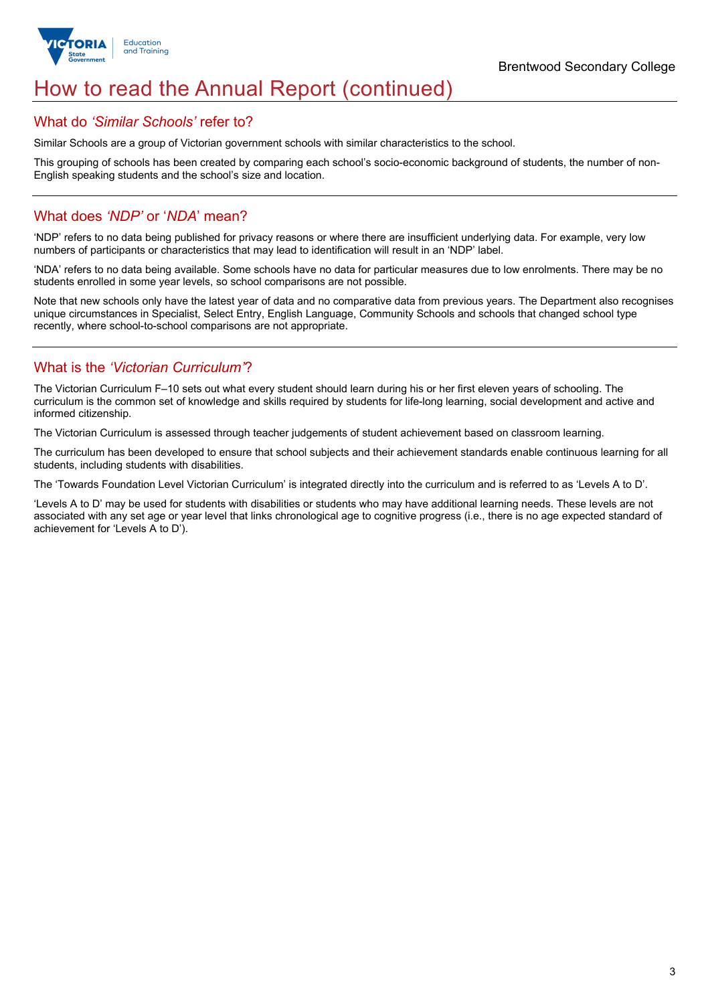

# How to read the Annual Report (continued)

#### What do *'Similar Schools'* refer to?

Similar Schools are a group of Victorian government schools with similar characteristics to the school.

This grouping of schools has been created by comparing each school's socio-economic background of students, the number of non-English speaking students and the school's size and location.

## What does *'NDP'* or '*NDA*' mean?

'NDP' refers to no data being published for privacy reasons or where there are insufficient underlying data. For example, very low numbers of participants or characteristics that may lead to identification will result in an 'NDP' label.

'NDA' refers to no data being available. Some schools have no data for particular measures due to low enrolments. There may be no students enrolled in some year levels, so school comparisons are not possible.

Note that new schools only have the latest year of data and no comparative data from previous years. The Department also recognises unique circumstances in Specialist, Select Entry, English Language, Community Schools and schools that changed school type recently, where school-to-school comparisons are not appropriate.

## What is the *'Victorian Curriculum'*?

The Victorian Curriculum F–10 sets out what every student should learn during his or her first eleven years of schooling. The curriculum is the common set of knowledge and skills required by students for life-long learning, social development and active and informed citizenship.

The Victorian Curriculum is assessed through teacher judgements of student achievement based on classroom learning.

The curriculum has been developed to ensure that school subjects and their achievement standards enable continuous learning for all students, including students with disabilities.

The 'Towards Foundation Level Victorian Curriculum' is integrated directly into the curriculum and is referred to as 'Levels A to D'.

'Levels A to D' may be used for students with disabilities or students who may have additional learning needs. These levels are not associated with any set age or year level that links chronological age to cognitive progress (i.e., there is no age expected standard of achievement for 'Levels A to D').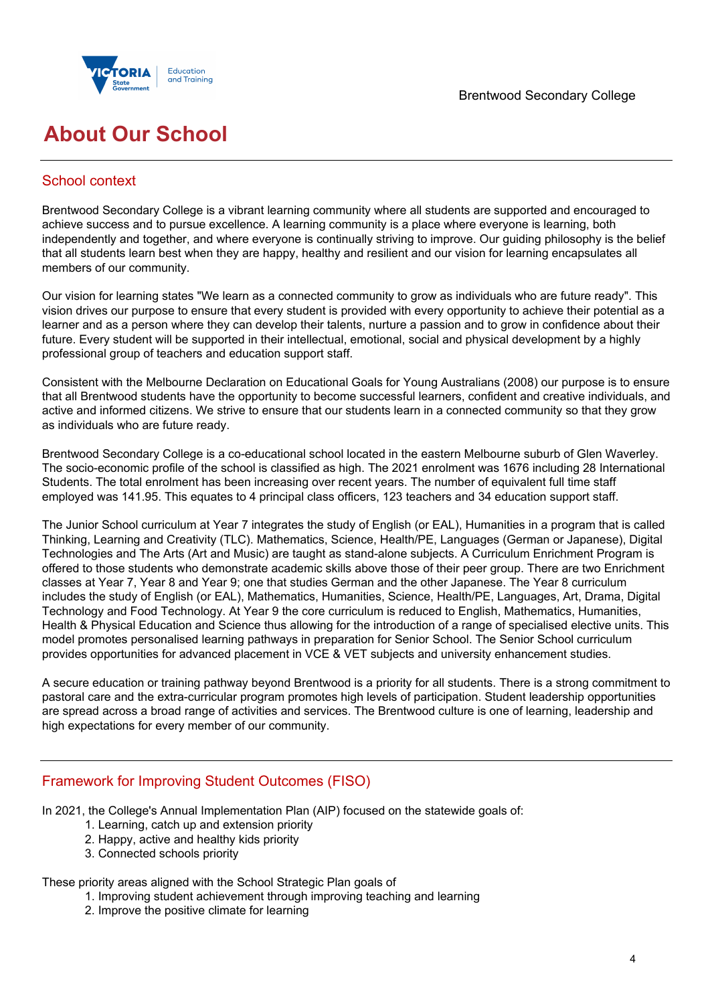

# **About Our School**

## School context

Brentwood Secondary College is a vibrant learning community where all students are supported and encouraged to achieve success and to pursue excellence. A learning community is a place where everyone is learning, both independently and together, and where everyone is continually striving to improve. Our guiding philosophy is the belief that all students learn best when they are happy, healthy and resilient and our vision for learning encapsulates all members of our community.

Our vision for learning states "We learn as a connected community to grow as individuals who are future ready". This vision drives our purpose to ensure that every student is provided with every opportunity to achieve their potential as a learner and as a person where they can develop their talents, nurture a passion and to grow in confidence about their future. Every student will be supported in their intellectual, emotional, social and physical development by a highly professional group of teachers and education support staff.

Consistent with the Melbourne Declaration on Educational Goals for Young Australians (2008) our purpose is to ensure that all Brentwood students have the opportunity to become successful learners, confident and creative individuals, and active and informed citizens. We strive to ensure that our students learn in a connected community so that they grow as individuals who are future ready.

Brentwood Secondary College is a co-educational school located in the eastern Melbourne suburb of Glen Waverley. The socio-economic profile of the school is classified as high. The 2021 enrolment was 1676 including 28 International Students. The total enrolment has been increasing over recent years. The number of equivalent full time staff employed was 141.95. This equates to 4 principal class officers, 123 teachers and 34 education support staff.

The Junior School curriculum at Year 7 integrates the study of English (or EAL), Humanities in a program that is called Thinking, Learning and Creativity (TLC). Mathematics, Science, Health/PE, Languages (German or Japanese), Digital Technologies and The Arts (Art and Music) are taught as stand-alone subjects. A Curriculum Enrichment Program is offered to those students who demonstrate academic skills above those of their peer group. There are two Enrichment classes at Year 7, Year 8 and Year 9; one that studies German and the other Japanese. The Year 8 curriculum includes the study of English (or EAL), Mathematics, Humanities, Science, Health/PE, Languages, Art, Drama, Digital Technology and Food Technology. At Year 9 the core curriculum is reduced to English, Mathematics, Humanities, Health & Physical Education and Science thus allowing for the introduction of a range of specialised elective units. This model promotes personalised learning pathways in preparation for Senior School. The Senior School curriculum provides opportunities for advanced placement in VCE & VET subjects and university enhancement studies.

A secure education or training pathway beyond Brentwood is a priority for all students. There is a strong commitment to pastoral care and the extra-curricular program promotes high levels of participation. Student leadership opportunities are spread across a broad range of activities and services. The Brentwood culture is one of learning, leadership and high expectations for every member of our community.

## Framework for Improving Student Outcomes (FISO)

In 2021, the College's Annual Implementation Plan (AIP) focused on the statewide goals of:

- 1. Learning, catch up and extension priority
- 2. Happy, active and healthy kids priority
- 3. Connected schools priority

#### These priority areas aligned with the School Strategic Plan goals of

- 1. Improving student achievement through improving teaching and learning
- 2. Improve the positive climate for learning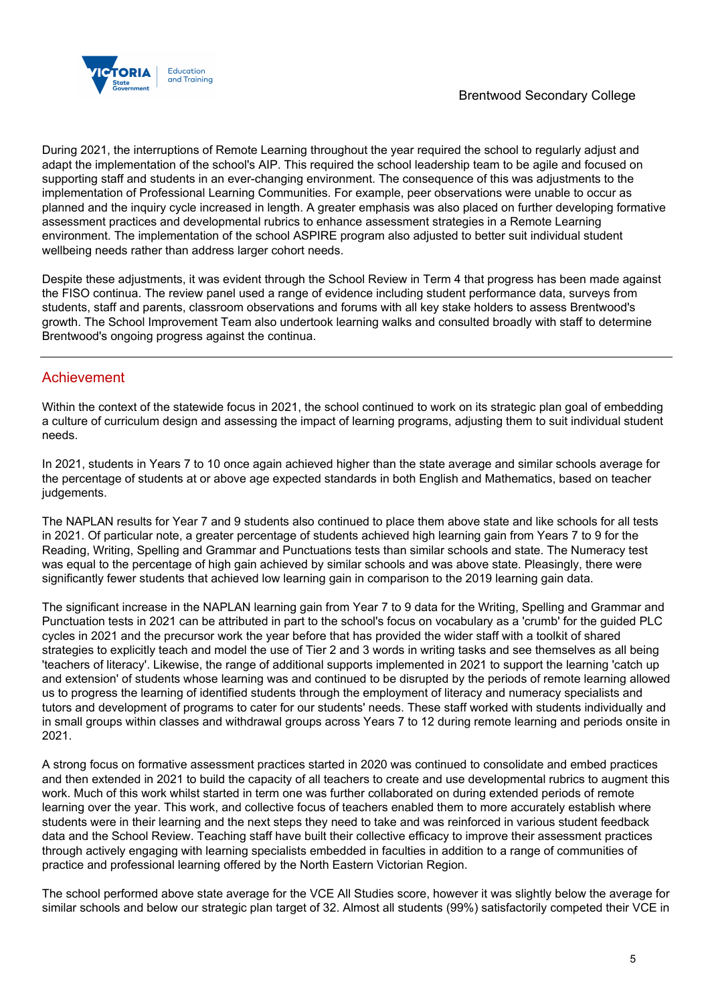

During 2021, the interruptions of Remote Learning throughout the year required the school to regularly adjust and adapt the implementation of the school's AIP. This required the school leadership team to be agile and focused on supporting staff and students in an ever-changing environment. The consequence of this was adjustments to the implementation of Professional Learning Communities. For example, peer observations were unable to occur as planned and the inquiry cycle increased in length. A greater emphasis was also placed on further developing formative assessment practices and developmental rubrics to enhance assessment strategies in a Remote Learning environment. The implementation of the school ASPIRE program also adjusted to better suit individual student wellbeing needs rather than address larger cohort needs.

Despite these adjustments, it was evident through the School Review in Term 4 that progress has been made against the FISO continua. The review panel used a range of evidence including student performance data, surveys from students, staff and parents, classroom observations and forums with all key stake holders to assess Brentwood's growth. The School Improvement Team also undertook learning walks and consulted broadly with staff to determine Brentwood's ongoing progress against the continua.

## Achievement

Within the context of the statewide focus in 2021, the school continued to work on its strategic plan goal of embedding a culture of curriculum design and assessing the impact of learning programs, adjusting them to suit individual student needs.

In 2021, students in Years 7 to 10 once again achieved higher than the state average and similar schools average for the percentage of students at or above age expected standards in both English and Mathematics, based on teacher judgements.

The NAPLAN results for Year 7 and 9 students also continued to place them above state and like schools for all tests in 2021. Of particular note, a greater percentage of students achieved high learning gain from Years 7 to 9 for the Reading, Writing, Spelling and Grammar and Punctuations tests than similar schools and state. The Numeracy test was equal to the percentage of high gain achieved by similar schools and was above state. Pleasingly, there were significantly fewer students that achieved low learning gain in comparison to the 2019 learning gain data.

The significant increase in the NAPLAN learning gain from Year 7 to 9 data for the Writing, Spelling and Grammar and Punctuation tests in 2021 can be attributed in part to the school's focus on vocabulary as a 'crumb' for the guided PLC cycles in 2021 and the precursor work the year before that has provided the wider staff with a toolkit of shared strategies to explicitly teach and model the use of Tier 2 and 3 words in writing tasks and see themselves as all being 'teachers of literacy'. Likewise, the range of additional supports implemented in 2021 to support the learning 'catch up and extension' of students whose learning was and continued to be disrupted by the periods of remote learning allowed us to progress the learning of identified students through the employment of literacy and numeracy specialists and tutors and development of programs to cater for our students' needs. These staff worked with students individually and in small groups within classes and withdrawal groups across Years 7 to 12 during remote learning and periods onsite in 2021.

A strong focus on formative assessment practices started in 2020 was continued to consolidate and embed practices and then extended in 2021 to build the capacity of all teachers to create and use developmental rubrics to augment this work. Much of this work whilst started in term one was further collaborated on during extended periods of remote learning over the year. This work, and collective focus of teachers enabled them to more accurately establish where students were in their learning and the next steps they need to take and was reinforced in various student feedback data and the School Review. Teaching staff have built their collective efficacy to improve their assessment practices through actively engaging with learning specialists embedded in faculties in addition to a range of communities of practice and professional learning offered by the North Eastern Victorian Region.

The school performed above state average for the VCE All Studies score, however it was slightly below the average for similar schools and below our strategic plan target of 32. Almost all students (99%) satisfactorily competed their VCE in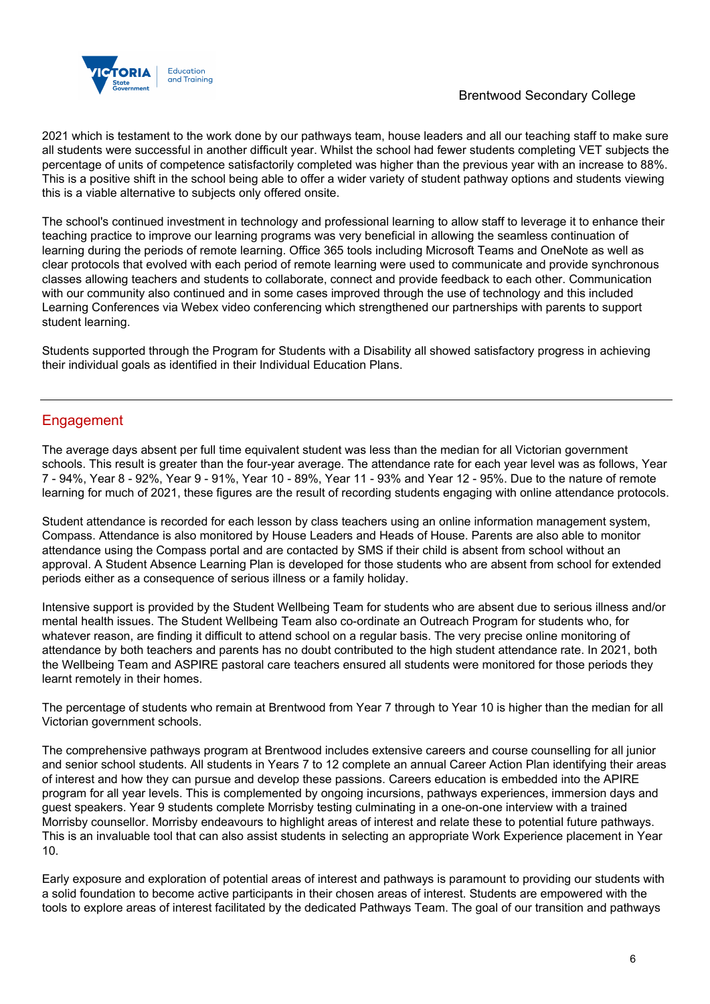

### Brentwood Secondary College

2021 which is testament to the work done by our pathways team, house leaders and all our teaching staff to make sure all students were successful in another difficult year. Whilst the school had fewer students completing VET subjects the percentage of units of competence satisfactorily completed was higher than the previous year with an increase to 88%. This is a positive shift in the school being able to offer a wider variety of student pathway options and students viewing this is a viable alternative to subjects only offered onsite.

The school's continued investment in technology and professional learning to allow staff to leverage it to enhance their teaching practice to improve our learning programs was very beneficial in allowing the seamless continuation of learning during the periods of remote learning. Office 365 tools including Microsoft Teams and OneNote as well as clear protocols that evolved with each period of remote learning were used to communicate and provide synchronous classes allowing teachers and students to collaborate, connect and provide feedback to each other. Communication with our community also continued and in some cases improved through the use of technology and this included Learning Conferences via Webex video conferencing which strengthened our partnerships with parents to support student learning.

Students supported through the Program for Students with a Disability all showed satisfactory progress in achieving their individual goals as identified in their Individual Education Plans.

# **Engagement**

The average days absent per full time equivalent student was less than the median for all Victorian government schools. This result is greater than the four-year average. The attendance rate for each year level was as follows, Year 7 - 94%, Year 8 - 92%, Year 9 - 91%, Year 10 - 89%, Year 11 - 93% and Year 12 - 95%. Due to the nature of remote learning for much of 2021, these figures are the result of recording students engaging with online attendance protocols.

Student attendance is recorded for each lesson by class teachers using an online information management system, Compass. Attendance is also monitored by House Leaders and Heads of House. Parents are also able to monitor attendance using the Compass portal and are contacted by SMS if their child is absent from school without an approval. A Student Absence Learning Plan is developed for those students who are absent from school for extended periods either as a consequence of serious illness or a family holiday.

Intensive support is provided by the Student Wellbeing Team for students who are absent due to serious illness and/or mental health issues. The Student Wellbeing Team also co-ordinate an Outreach Program for students who, for whatever reason, are finding it difficult to attend school on a regular basis. The very precise online monitoring of attendance by both teachers and parents has no doubt contributed to the high student attendance rate. In 2021, both the Wellbeing Team and ASPIRE pastoral care teachers ensured all students were monitored for those periods they learnt remotely in their homes.

The percentage of students who remain at Brentwood from Year 7 through to Year 10 is higher than the median for all Victorian government schools.

The comprehensive pathways program at Brentwood includes extensive careers and course counselling for all junior and senior school students. All students in Years 7 to 12 complete an annual Career Action Plan identifying their areas of interest and how they can pursue and develop these passions. Careers education is embedded into the APIRE program for all year levels. This is complemented by ongoing incursions, pathways experiences, immersion days and guest speakers. Year 9 students complete Morrisby testing culminating in a one-on-one interview with a trained Morrisby counsellor. Morrisby endeavours to highlight areas of interest and relate these to potential future pathways. This is an invaluable tool that can also assist students in selecting an appropriate Work Experience placement in Year 10.

Early exposure and exploration of potential areas of interest and pathways is paramount to providing our students with a solid foundation to become active participants in their chosen areas of interest. Students are empowered with the tools to explore areas of interest facilitated by the dedicated Pathways Team. The goal of our transition and pathways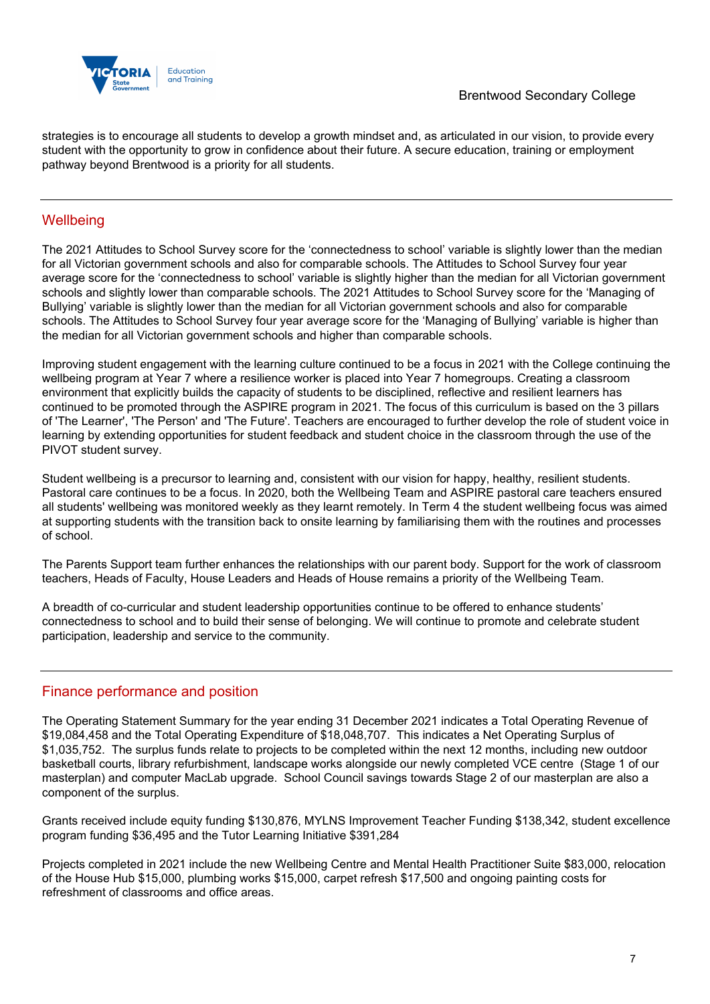

strategies is to encourage all students to develop a growth mindset and, as articulated in our vision, to provide every student with the opportunity to grow in confidence about their future. A secure education, training or employment pathway beyond Brentwood is a priority for all students.

## **Wellbeing**

The 2021 Attitudes to School Survey score for the 'connectedness to school' variable is slightly lower than the median for all Victorian government schools and also for comparable schools. The Attitudes to School Survey four year average score for the 'connectedness to school' variable is slightly higher than the median for all Victorian government schools and slightly lower than comparable schools. The 2021 Attitudes to School Survey score for the 'Managing of Bullying' variable is slightly lower than the median for all Victorian government schools and also for comparable schools. The Attitudes to School Survey four year average score for the 'Managing of Bullying' variable is higher than the median for all Victorian government schools and higher than comparable schools.

Improving student engagement with the learning culture continued to be a focus in 2021 with the College continuing the wellbeing program at Year 7 where a resilience worker is placed into Year 7 homegroups. Creating a classroom environment that explicitly builds the capacity of students to be disciplined, reflective and resilient learners has continued to be promoted through the ASPIRE program in 2021. The focus of this curriculum is based on the 3 pillars of 'The Learner', 'The Person' and 'The Future'. Teachers are encouraged to further develop the role of student voice in learning by extending opportunities for student feedback and student choice in the classroom through the use of the PIVOT student survey.

Student wellbeing is a precursor to learning and, consistent with our vision for happy, healthy, resilient students. Pastoral care continues to be a focus. In 2020, both the Wellbeing Team and ASPIRE pastoral care teachers ensured all students' wellbeing was monitored weekly as they learnt remotely. In Term 4 the student wellbeing focus was aimed at supporting students with the transition back to onsite learning by familiarising them with the routines and processes of school.

The Parents Support team further enhances the relationships with our parent body. Support for the work of classroom teachers, Heads of Faculty, House Leaders and Heads of House remains a priority of the Wellbeing Team.

A breadth of co-curricular and student leadership opportunities continue to be offered to enhance students' connectedness to school and to build their sense of belonging. We will continue to promote and celebrate student participation, leadership and service to the community.

### Finance performance and position

The Operating Statement Summary for the year ending 31 December 2021 indicates a Total Operating Revenue of \$19,084,458 and the Total Operating Expenditure of \$18,048,707. This indicates a Net Operating Surplus of \$1,035,752. The surplus funds relate to projects to be completed within the next 12 months, including new outdoor basketball courts, library refurbishment, landscape works alongside our newly completed VCE centre (Stage 1 of our masterplan) and computer MacLab upgrade. School Council savings towards Stage 2 of our masterplan are also a component of the surplus.

Grants received include equity funding \$130,876, MYLNS Improvement Teacher Funding \$138,342, student excellence program funding \$36,495 and the Tutor Learning Initiative \$391,284

Projects completed in 2021 include the new Wellbeing Centre and Mental Health Practitioner Suite \$83,000, relocation of the House Hub \$15,000, plumbing works \$15,000, carpet refresh \$17,500 and ongoing painting costs for refreshment of classrooms and office areas.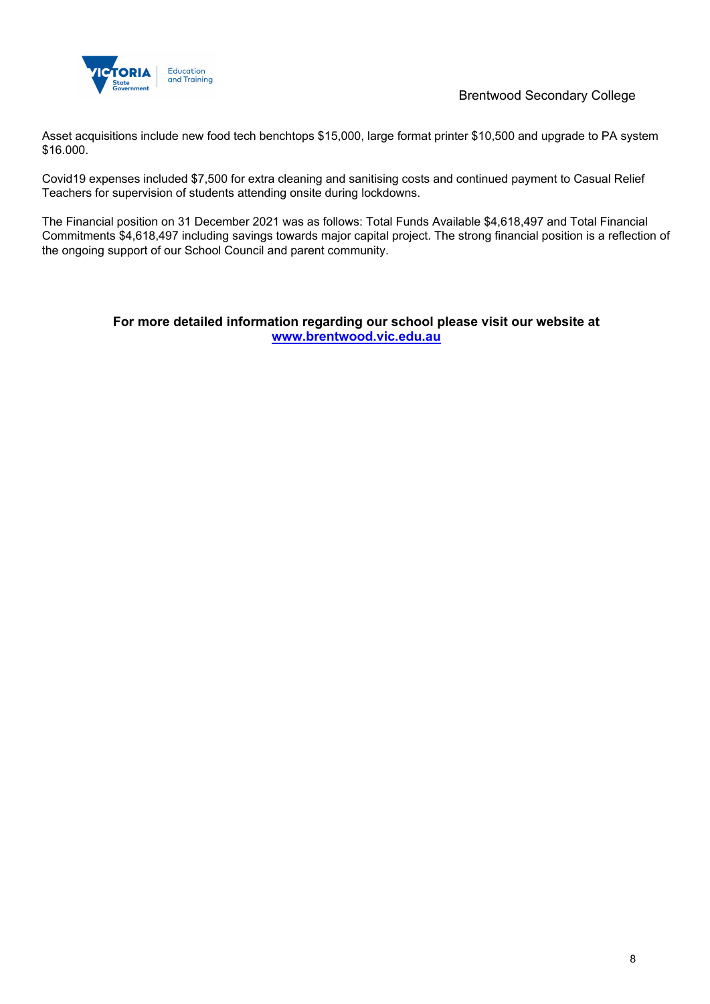

Asset acquisitions include new food tech benchtops \$15,000, large format printer \$10,500 and upgrade to PA system \$16.000.

Covid19 expenses included \$7,500 for extra cleaning and sanitising costs and continued payment to Casual Relief Teachers for supervision of students attending onsite during lockdowns.

The Financial position on 31 December 2021 was as follows: Total Funds Available \$4,618,497 and Total Financial Commitments \$4,618,497 including savings towards major capital project. The strong financial position is a reflection of the ongoing support of our School Council and parent community.

### **For more detailed information regarding our school please visit our website at www.brentwood.vic.edu.au**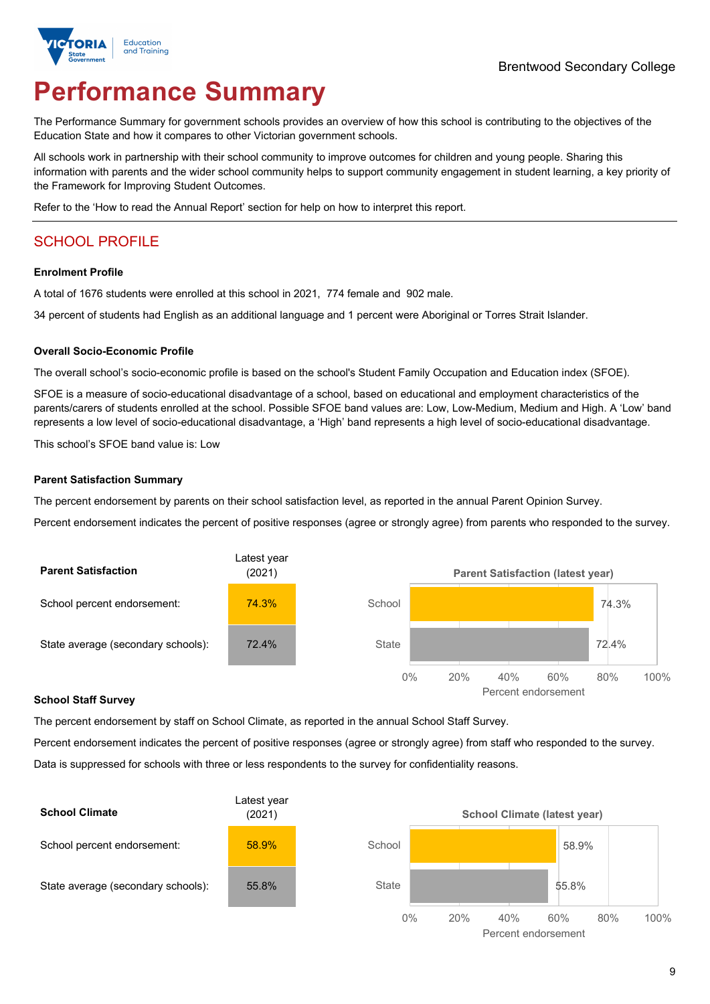

# **Performance Summary**

The Performance Summary for government schools provides an overview of how this school is contributing to the objectives of the Education State and how it compares to other Victorian government schools.

All schools work in partnership with their school community to improve outcomes for children and young people. Sharing this information with parents and the wider school community helps to support community engagement in student learning, a key priority of the Framework for Improving Student Outcomes.

Refer to the 'How to read the Annual Report' section for help on how to interpret this report.

# SCHOOL PROFILE

#### **Enrolment Profile**

A total of 1676 students were enrolled at this school in 2021, 774 female and 902 male.

34 percent of students had English as an additional language and 1 percent were Aboriginal or Torres Strait Islander.

#### **Overall Socio-Economic Profile**

The overall school's socio-economic profile is based on the school's Student Family Occupation and Education index (SFOE).

SFOE is a measure of socio-educational disadvantage of a school, based on educational and employment characteristics of the parents/carers of students enrolled at the school. Possible SFOE band values are: Low, Low-Medium, Medium and High. A 'Low' band represents a low level of socio-educational disadvantage, a 'High' band represents a high level of socio-educational disadvantage.

This school's SFOE band value is: Low

#### **Parent Satisfaction Summary**

The percent endorsement by parents on their school satisfaction level, as reported in the annual Parent Opinion Survey.

Percent endorsement indicates the percent of positive responses (agree or strongly agree) from parents who responded to the survey.



#### **School Staff Survey**

The percent endorsement by staff on School Climate, as reported in the annual School Staff Survey.

Percent endorsement indicates the percent of positive responses (agree or strongly agree) from staff who responded to the survey. Data is suppressed for schools with three or less respondents to the survey for confidentiality reasons.

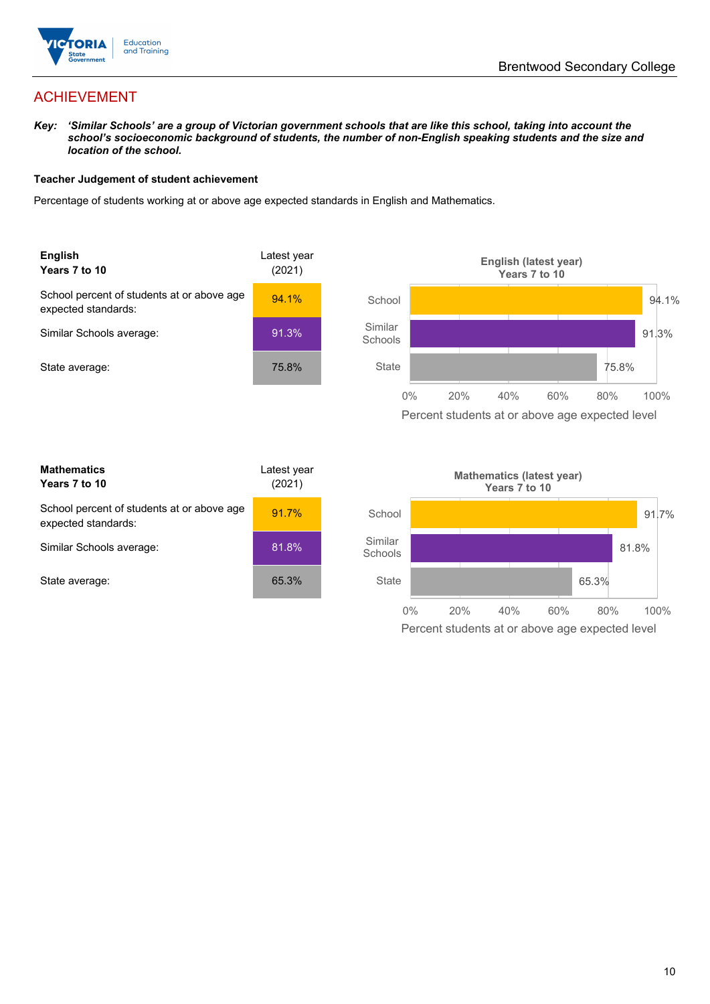

# ACHIEVEMENT

*Key: 'Similar Schools' are a group of Victorian government schools that are like this school, taking into account the school's socioeconomic background of students, the number of non-English speaking students and the size and location of the school.*

#### **Teacher Judgement of student achievement**

Percentage of students working at or above age expected standards in English and Mathematics.



| <b>Mathematics</b><br>Years 7 to 10                               | Latest year<br>(2021) |
|-------------------------------------------------------------------|-----------------------|
| School percent of students at or above age<br>expected standards: | 91.7%                 |
| Similar Schools average:                                          | 81.8%                 |
| State average:                                                    | 65.3%                 |

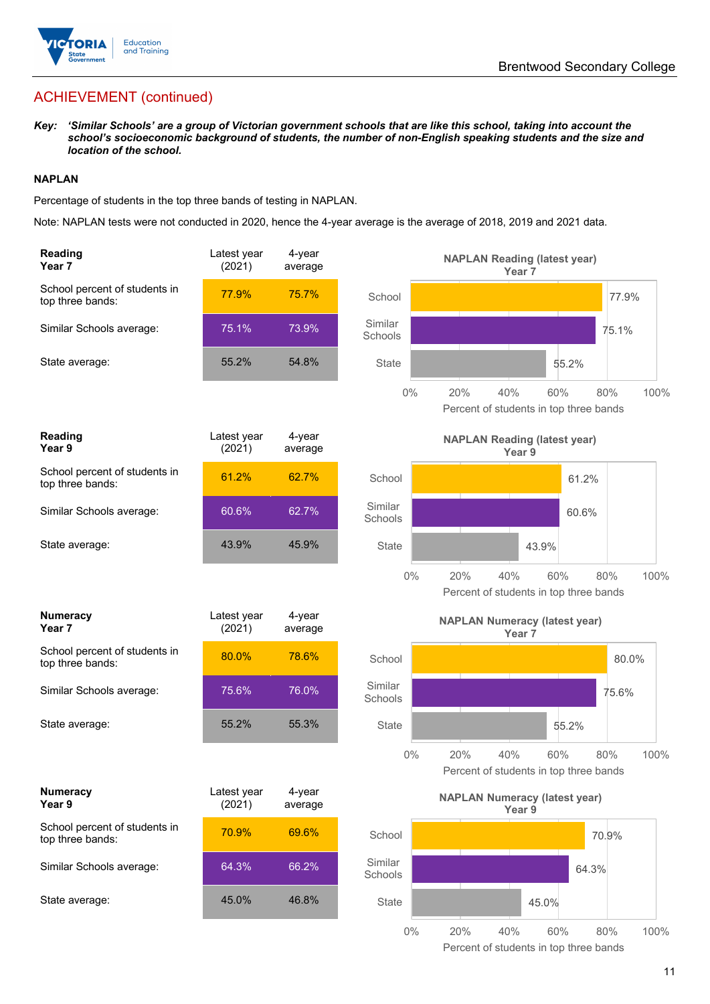

# ACHIEVEMENT (continued)

*Key: 'Similar Schools' are a group of Victorian government schools that are like this school, taking into account the school's socioeconomic background of students, the number of non-English speaking students and the size and location of the school.*

#### **NAPLAN**

Percentage of students in the top three bands of testing in NAPLAN.

Note: NAPLAN tests were not conducted in 2020, hence the 4-year average is the average of 2018, 2019 and 2021 data.

| <b>Reading</b><br>Year <sub>7</sub>               | Latest year<br>(2021) | 4-year<br>average    | <b>NAPLAN Reading (latest year)</b><br>Year <sub>7</sub>                    |      |
|---------------------------------------------------|-----------------------|----------------------|-----------------------------------------------------------------------------|------|
| School percent of students in<br>top three bands: | 77.9%                 | 75.7%                | School<br>77.9%                                                             |      |
| Similar Schools average:                          | 75.1%                 | 73.9%                | Similar<br>75.1%<br>Schools                                                 |      |
| State average:                                    | 55.2%                 | 54.8%                | State<br>55.2%                                                              |      |
|                                                   |                       |                      | $0\%$<br>20%<br>40%<br>60%<br>80%<br>Percent of students in top three bands | 100% |
| Reading<br>Year 9                                 | Latest year<br>(2021) | 4-year<br>average    | <b>NAPLAN Reading (latest year)</b><br>Year 9                               |      |
| School percent of students in<br>top three bands: | 61.2%                 | 62.7%                | School<br>61.2%                                                             |      |
| Similar Schools average:                          | 60.6%                 | 62.7%                | Similar<br>60.6%<br>Schools                                                 |      |
| State average:                                    | 43.9%                 | 45.9%                | <b>State</b><br>43.9%                                                       |      |
|                                                   |                       |                      | $0\%$<br>20%<br>40%<br>60%<br>80%<br>Percent of students in top three bands | 100% |
| <b>Numeracy</b><br>Year 7                         | Latest year<br>(2021) | 4-year<br>average    | <b>NAPLAN Numeracy (latest year)</b><br>Year 7                              |      |
| School percent of students in<br>top three bands: | 80.0%                 | 78.6%                | School<br>80.0%                                                             |      |
| Similar Schools average:                          | 75.6%                 | 76.0%                | Similar<br>75.6%<br>Schools                                                 |      |
| State average:                                    | 55.2%                 | 55.3%                | <b>State</b><br>55.2%                                                       |      |
|                                                   |                       |                      | $0\%$<br>20%<br>40%<br>80%<br>60%<br>Percent of students in top three bands | 100% |
| <b>Numeracy</b><br>Year 9                         | Latest year<br>(2021) | $4$ -year<br>average | <b>NAPLAN Numeracy (latest year)</b><br>Year 9                              |      |
| School percent of students in<br>top three bands: | 70.9%                 | 69.6%                | School<br>70.9%                                                             |      |
| Similar Schools average:                          | 64.3%                 | 66.2%                | Similar<br>64.3%<br>Schools                                                 |      |
| State average:                                    | 45.0%                 | 46.8%                | State<br>45.0%                                                              |      |
|                                                   |                       |                      | $0\%$<br>20%<br>60%<br>80%<br>40%                                           | 100% |

Percent of students in top three bands

11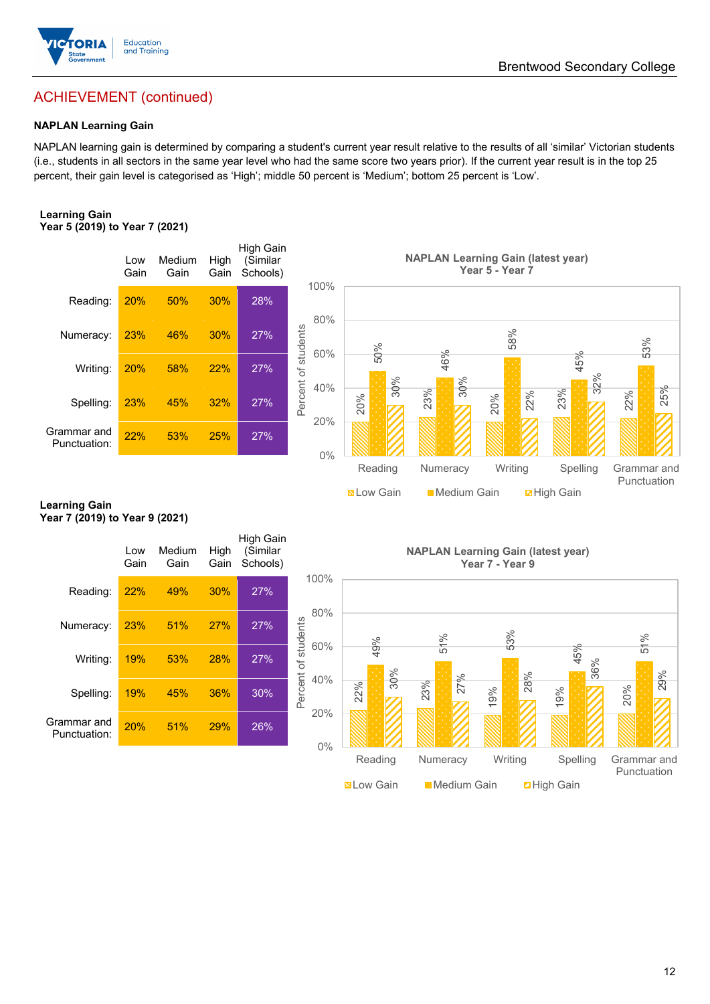

# ACHIEVEMENT (continued)

#### **NAPLAN Learning Gain**

NAPLAN learning gain is determined by comparing a student's current year result relative to the results of all 'similar' Victorian students (i.e., students in all sectors in the same year level who had the same score two years prior). If the current year result is in the top 25 percent, their gain level is categorised as 'High'; middle 50 percent is 'Medium'; bottom 25 percent is 'Low'.

#### **Learning Gain Year 5 (2019) to Year 7 (2021)**



#### **Learning Gain Year 7 (2019) to Year 9 (2021)**

|                             | Low<br>Gain | Medium<br>Gain | High<br>Gain | High Gain<br>(Similar<br>Schools) |                            |
|-----------------------------|-------------|----------------|--------------|-----------------------------------|----------------------------|
| Reading:                    | 22%         | 49%            | 30%          | 27%                               | 100%                       |
| Numeracy:                   | 23%         | 51%            | 27%          | 27%                               | 80%                        |
| Writing:                    | 19%         | 53%            | 28%          | 27%                               | Percent of students<br>60% |
| Spelling:                   | 19%         | 45%            | 36%          | 30%                               | 40%                        |
| Grammar and<br>Punctuation: | 20%         | 51%            | 29%          | 26%                               | 20%<br>0 <sup>0</sup>      |
|                             |             |                |              |                                   |                            |

**NAPLAN Learning Gain (latest year) Year 7 - Year 9**

**Now Gain** Medium Gain **Machain Math Gain** 

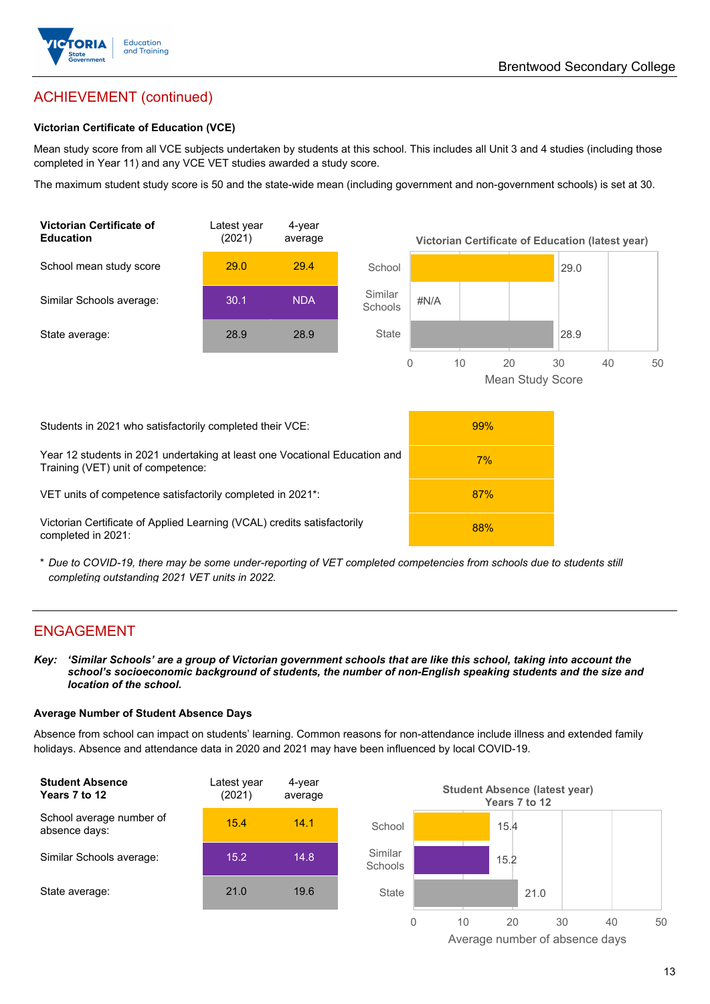

# ACHIEVEMENT (continued)

#### **Victorian Certificate of Education (VCE)**

Mean study score from all VCE subjects undertaken by students at this school. This includes all Unit 3 and 4 studies (including those completed in Year 11) and any VCE VET studies awarded a study score.

The maximum student study score is 50 and the state-wide mean (including government and non-government schools) is set at 30.



\* *Due to COVID-19, there may be some under-reporting of VET completed competencies from schools due to students still completing outstanding 2021 VET units in 2022.*

### ENGAGEMENT

*Key: 'Similar Schools' are a group of Victorian government schools that are like this school, taking into account the*  school's socioeconomic background of students, the number of non-English speaking students and the size and *location of the school.*

#### **Average Number of Student Absence Days**

Absence from school can impact on students' learning. Common reasons for non-attendance include illness and extended family holidays. Absence and attendance data in 2020 and 2021 may have been influenced by local COVID-19.



Average number of absence days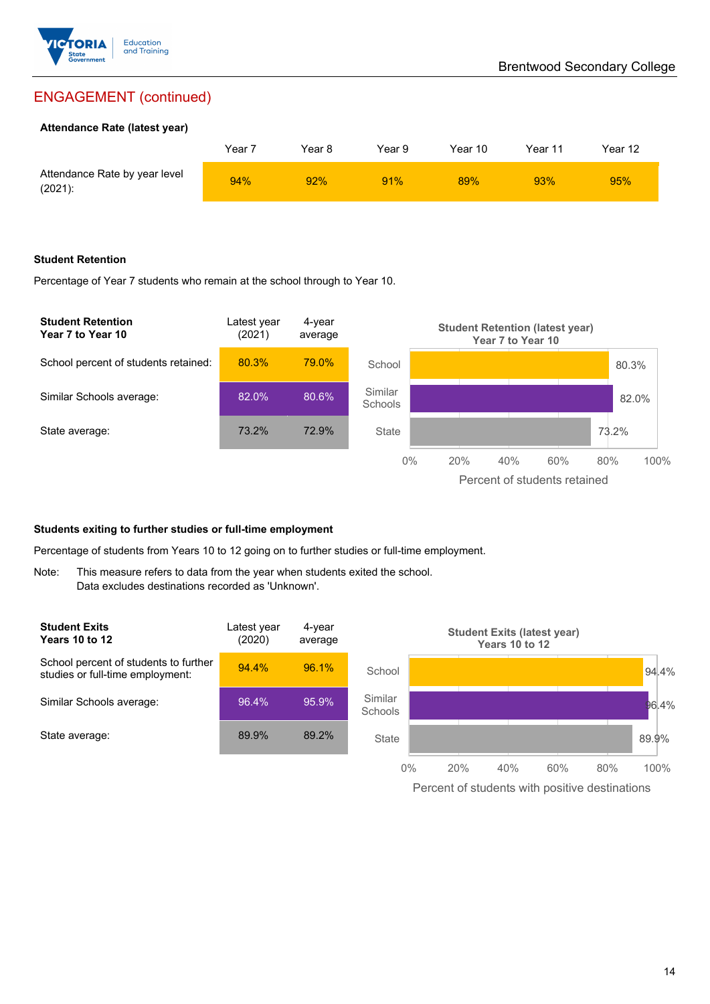

# ENGAGEMENT (continued)

#### **Attendance Rate (latest year)**

|                                             | Year ' | Year 8 | Year 9 | Year 10 | Year 11 | Year 12 |
|---------------------------------------------|--------|--------|--------|---------|---------|---------|
| Attendance Rate by year level<br>$(2021)$ : | 94%    | 92%    | 91%    | 89%     | 93%     | 95%     |

#### **Student Retention**

Percentage of Year 7 students who remain at the school through to Year 10.



#### **Students exiting to further studies or full-time employment**

Percentage of students from Years 10 to 12 going on to further studies or full-time employment.

Note: This measure refers to data from the year when students exited the school. Data excludes destinations recorded as 'Unknown'.

| <b>Student Exits</b><br>Years 10 to 12                                    | Latest year<br>(2020) | 4-year<br>average |                           |       | <b>Student Exits (latest year)</b> | Years 10 to 12 |     |          |
|---------------------------------------------------------------------------|-----------------------|-------------------|---------------------------|-------|------------------------------------|----------------|-----|----------|
| School percent of students to further<br>studies or full-time employment: | 94.4%                 | 96.1%             | School                    |       |                                    |                |     | 94.4%    |
| Similar Schools average:                                                  | 96.4%                 | 95.9%             | Similar<br><b>Schools</b> |       |                                    |                |     | $96.4\%$ |
| State average:                                                            | 89.9%                 | 89.2%             | <b>State</b>              |       |                                    |                |     | 89.9%    |
|                                                                           |                       |                   |                           | $0\%$ | 20%<br>40%                         | 60%            | 80% | 100%     |

Percent of students with positive destinations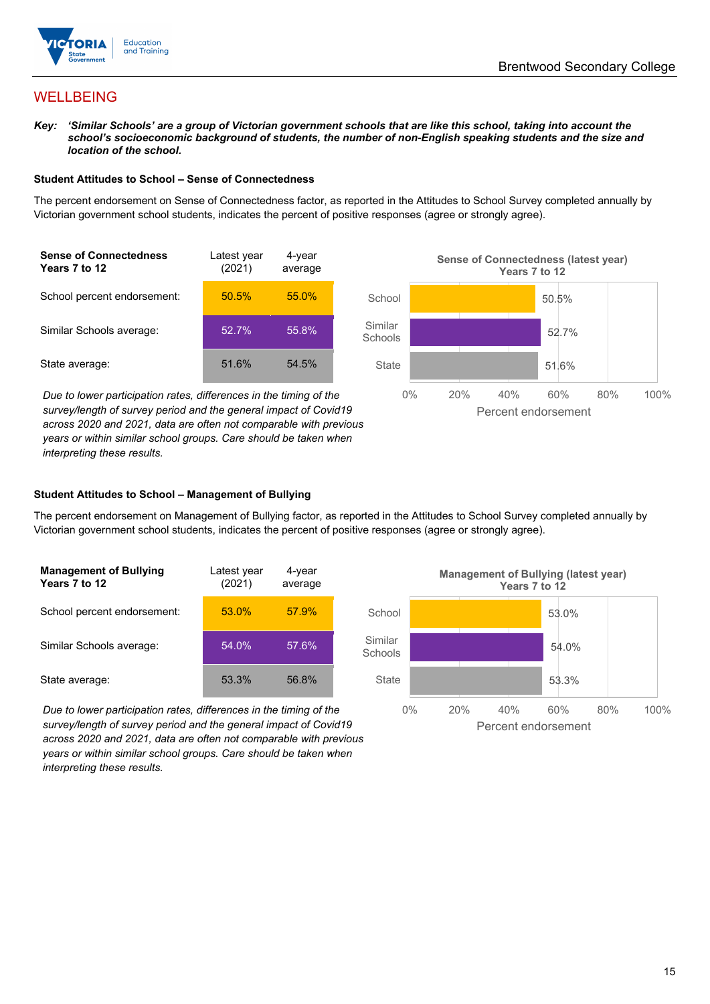

## WELLBEING

*Key: 'Similar Schools' are a group of Victorian government schools that are like this school, taking into account the*  school's socioeconomic background of students, the number of non-English speaking students and the size and *location of the school.*

#### **Student Attitudes to School – Sense of Connectedness**

The percent endorsement on Sense of Connectedness factor, as reported in the Attitudes to School Survey completed annually by Victorian government school students, indicates the percent of positive responses (agree or strongly agree).



*Due to lower participation rates, differences in the timing of the survey/length of survey period and the general impact of Covid19 across 2020 and 2021, data are often not comparable with previous years or within similar school groups. Care should be taken when interpreting these results.*



#### **Student Attitudes to School – Management of Bullying**

The percent endorsement on Management of Bullying factor, as reported in the Attitudes to School Survey completed annually by Victorian government school students, indicates the percent of positive responses (agree or strongly agree).

| <b>Management of Bullying</b><br>Years 7 to 12 | Latest year<br>(2021) | 4-year<br>average |  |
|------------------------------------------------|-----------------------|-------------------|--|
| School percent endorsement:                    | 53.0%                 | 57.9%             |  |
| Similar Schools average:                       | 54.0%                 | 57.6%             |  |
| State average:                                 | 53.3%                 | 56.8%             |  |

*Due to lower participation rates, differences in the timing of the survey/length of survey period and the general impact of Covid19 across 2020 and 2021, data are often not comparable with previous years or within similar school groups. Care should be taken when interpreting these results.*

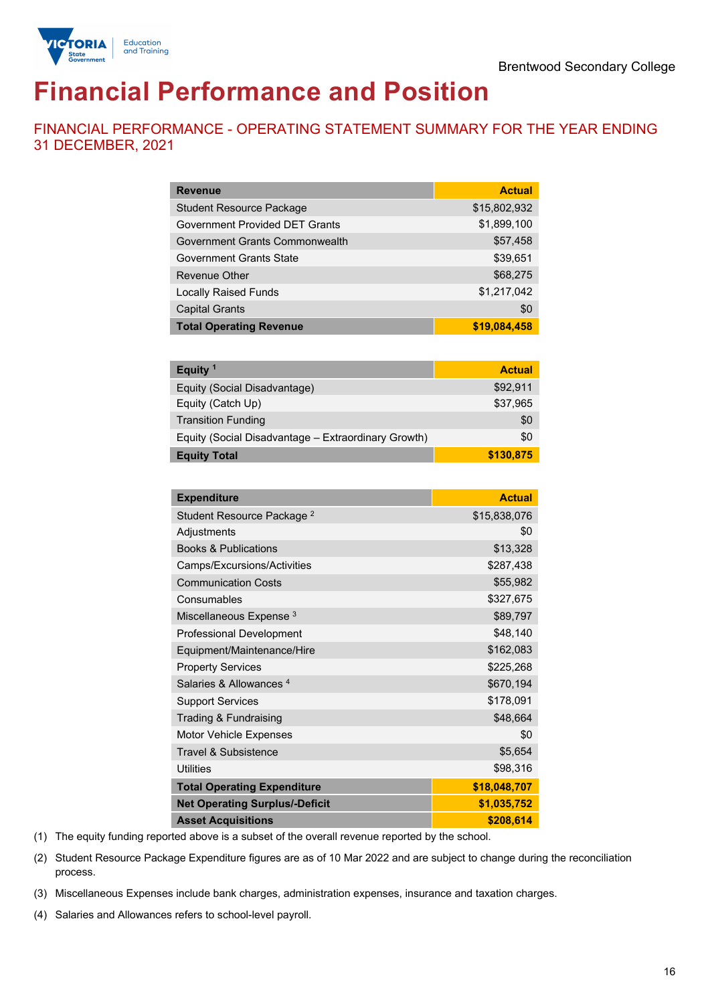

# **Financial Performance and Position**

FINANCIAL PERFORMANCE - OPERATING STATEMENT SUMMARY FOR THE YEAR ENDING 31 DECEMBER, 2021

| <b>Revenue</b>                        | <b>Actual</b> |
|---------------------------------------|---------------|
| <b>Student Resource Package</b>       | \$15,802,932  |
| <b>Government Provided DET Grants</b> | \$1,899,100   |
| Government Grants Commonwealth        | \$57,458      |
| <b>Government Grants State</b>        | \$39,651      |
| <b>Revenue Other</b>                  | \$68,275      |
| <b>Locally Raised Funds</b>           | \$1,217,042   |
| <b>Capital Grants</b>                 | \$0           |
| <b>Total Operating Revenue</b>        | \$19,084,458  |

| Equity <sup>1</sup>                                 | <b>Actual</b> |
|-----------------------------------------------------|---------------|
| Equity (Social Disadvantage)                        | \$92,911      |
| Equity (Catch Up)                                   | \$37,965      |
| <b>Transition Funding</b>                           | \$0           |
| Equity (Social Disadvantage - Extraordinary Growth) | \$0           |
| <b>Equity Total</b>                                 | \$130,875     |

| <b>Expenditure</b>                    | <b>Actual</b> |
|---------------------------------------|---------------|
| Student Resource Package <sup>2</sup> | \$15,838,076  |
| Adjustments                           | \$0           |
| <b>Books &amp; Publications</b>       | \$13,328      |
| Camps/Excursions/Activities           | \$287,438     |
| <b>Communication Costs</b>            | \$55,982      |
| Consumables                           | \$327,675     |
| Miscellaneous Expense <sup>3</sup>    | \$89,797      |
| <b>Professional Development</b>       | \$48,140      |
| Equipment/Maintenance/Hire            | \$162,083     |
| <b>Property Services</b>              | \$225,268     |
| Salaries & Allowances <sup>4</sup>    | \$670,194     |
| <b>Support Services</b>               | \$178,091     |
| Trading & Fundraising                 | \$48,664      |
| Motor Vehicle Expenses                | \$0           |
| <b>Travel &amp; Subsistence</b>       | \$5,654       |
| <b>Utilities</b>                      | \$98,316      |
| <b>Total Operating Expenditure</b>    | \$18,048,707  |
| <b>Net Operating Surplus/-Deficit</b> | \$1,035,752   |
| <b>Asset Acquisitions</b>             | \$208,614     |

(1) The equity funding reported above is a subset of the overall revenue reported by the school.

(2) Student Resource Package Expenditure figures are as of 10 Mar 2022 and are subject to change during the reconciliation process.

(3) Miscellaneous Expenses include bank charges, administration expenses, insurance and taxation charges.

(4) Salaries and Allowances refers to school-level payroll.